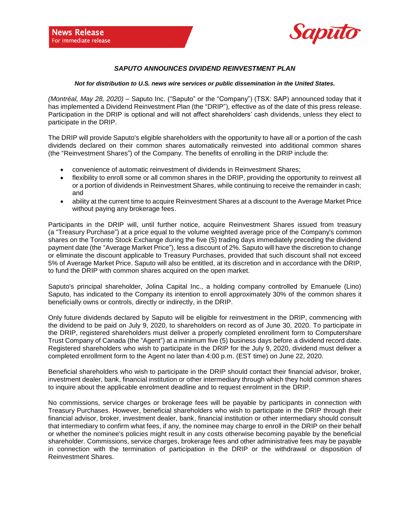

## *SAPUTO ANNOUNCES DIVIDEND REINVESTMENT PLAN*

## *Not for distribution to U.S. news wire services or public dissemination in the United States.*

*(Montréal, May 28, 2020)* – Saputo Inc. ("Saputo" or the "Company") (TSX: SAP) announced today that it has implemented a Dividend Reinvestment Plan (the "DRIP"), effective as of the date of this press release. Participation in the DRIP is optional and will not affect shareholders' cash dividends, unless they elect to participate in the DRIP.

The DRIP will provide Saputo's eligible shareholders with the opportunity to have all or a portion of the cash dividends declared on their common shares automatically reinvested into additional common shares (the "Reinvestment Shares") of the Company. The benefits of enrolling in the DRIP include the:

- convenience of automatic reinvestment of dividends in Reinvestment Shares;
- flexibility to enroll some or all common shares in the DRIP, providing the opportunity to reinvest all or a portion of dividends in Reinvestment Shares, while continuing to receive the remainder in cash; and
- ability at the current time to acquire Reinvestment Shares at a discount to the Average Market Price without paying any brokerage fees.

Participants in the DRIP will, until further notice, acquire Reinvestment Shares issued from treasury (a "Treasury Purchase") at a price equal to the volume weighted average price of the Company's common shares on the Toronto Stock Exchange during the five (5) trading days immediately preceding the dividend payment date (the "Average Market Price"), less a discount of 2%. Saputo will have the discretion to change or eliminate the discount applicable to Treasury Purchases, provided that such discount shall not exceed 5% of Average Market Price. Saputo will also be entitled, at its discretion and in accordance with the DRIP, to fund the DRIP with common shares acquired on the open market.

Saputo's principal shareholder, Jolina Capital Inc., a holding company controlled by Emanuele (Lino) Saputo, has indicated to the Company its intention to enroll approximately 30% of the common shares it beneficially owns or controls, directly or indirectly, in the DRIP.

Only future dividends declared by Saputo will be eligible for reinvestment in the DRIP, commencing with the dividend to be paid on July 9, 2020, to shareholders on record as of June 30, 2020. To participate in the DRIP, registered shareholders must deliver a properly completed enrollment form to Computershare Trust Company of Canada (the "Agent") at a minimum five (5) business days before a dividend record date. Registered shareholders who wish to participate in the DRIP for the July 9, 2020, dividend must deliver a completed enrollment form to the Agent no later than 4:00 p.m. (EST time) on June 22, 2020.

Beneficial shareholders who wish to participate in the DRIP should contact their financial advisor, broker, investment dealer, bank, financial institution or other intermediary through which they hold common shares to inquire about the applicable enrolment deadline and to request enrolment in the DRIP.

No commissions, service charges or brokerage fees will be payable by participants in connection with Treasury Purchases. However, beneficial shareholders who wish to participate in the DRIP through their financial advisor, broker, investment dealer, bank, financial institution or other intermediary should consult that intermediary to confirm what fees, if any, the nominee may charge to enroll in the DRIP on their behalf or whether the nominee's policies might result in any costs otherwise becoming payable by the beneficial shareholder. Commissions, service charges, brokerage fees and other administrative fees may be payable in connection with the termination of participation in the DRIP or the withdrawal or disposition of Reinvestment Shares.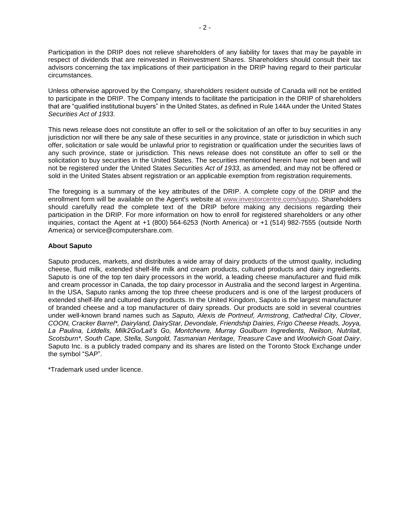Participation in the DRIP does not relieve shareholders of any liability for taxes that may be payable in respect of dividends that are reinvested in Reinvestment Shares. Shareholders should consult their tax advisors concerning the tax implications of their participation in the DRIP having regard to their particular circumstances.

Unless otherwise approved by the Company, shareholders resident outside of Canada will not be entitled to participate in the DRIP. The Company intends to facilitate the participation in the DRIP of shareholders that are "qualified institutional buyers" in the United States, as defined in Rule 144A under the United States *Securities Act of 1933*.

This news release does not constitute an offer to sell or the solicitation of an offer to buy securities in any jurisdiction nor will there be any sale of these securities in any province, state or jurisdiction in which such offer, solicitation or sale would be unlawful prior to registration or qualification under the securities laws of any such province, state or jurisdiction. This news release does not constitute an offer to sell or the solicitation to buy securities in the United States. The securities mentioned herein have not been and will not be registered under the United States *Securities Act of 1933*, as amended, and may not be offered or sold in the United States absent registration or an applicable exemption from registration requirements.

The foregoing is a summary of the key attributes of the DRIP. A complete copy of the DRIP and the enrollment form will be available on the Agent's website at [www.investorcentre.com/saputo.](http://www.investorcentre.com/saputo) Shareholders should carefully read the complete text of the DRIP before making any decisions regarding their participation in the DRIP. For more information on how to enroll for registered shareholders or any other inquiries, contact the Agent at +1 (800) 564-6253 (North America) or +1 (514) 982-7555 (outside North America) or service@computershare.com.

## **About Saputo**

Saputo produces, markets, and distributes a wide array of dairy products of the utmost quality, including cheese, fluid milk, extended shelf-life milk and cream products, cultured products and dairy ingredients. Saputo is one of the top ten dairy processors in the world, a leading cheese manufacturer and fluid milk and cream processor in Canada, the top dairy processor in Australia and the second largest in Argentina. In the USA, Saputo ranks among the top three cheese producers and is one of the largest producers of extended shelf-life and cultured dairy products. In the United Kingdom, Saputo is the largest manufacturer of branded cheese and a top manufacturer of dairy spreads. Our products are sold in several countries under well-known brand names such as *Saputo, Alexis de Portneuf, Armstrong, Cathedral City, Clover, COON, Cracker Barrel\*, Dairyland, DairyStar, Devondale, Friendship Dairies, Frigo Cheese Heads, Joyya, La Paulina, Liddells, Milk2Go/Lait's Go, Montchevre, Murray Goulburn Ingredients, Neilson, Nutrilait, Scotsburn\*, South Cape, Stella, Sungold, Tasmanian Heritage, Treasure Cave* and *Woolwich Goat Dairy*. Saputo Inc. is a publicly traded company and its shares are listed on the Toronto Stock Exchange under the symbol "SAP".

\*Trademark used under licence.